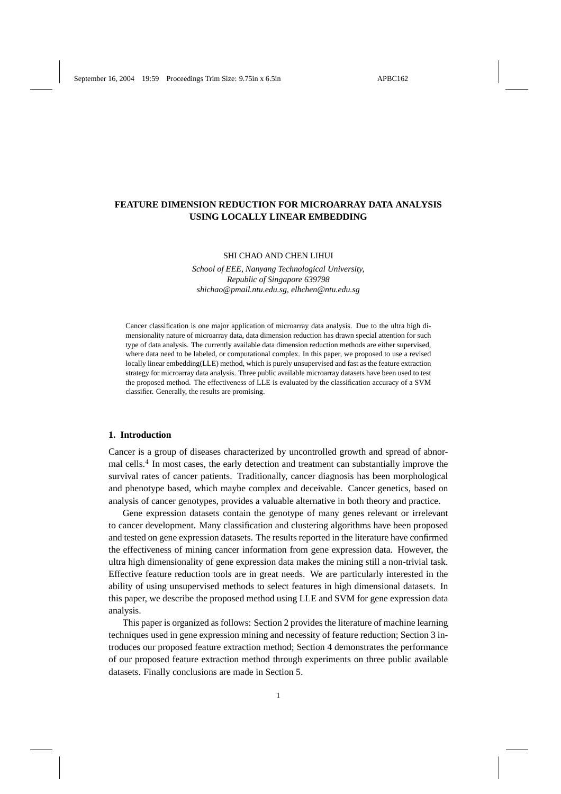# **FEATURE DIMENSION REDUCTION FOR MICROARRAY DATA ANALYSIS USING LOCALLY LINEAR EMBEDDING**

#### SHI CHAO AND CHEN LIHUI

*School of EEE, Nanyang Technological University, Republic of Singapore 639798 shichao@pmail.ntu.edu.sg, elhchen@ntu.edu.sg*

Cancer classification is one major application of microarray data analysis. Due to the ultra high dimensionality nature of microarray data, data dimension reduction has drawn special attention for such type of data analysis. The currently available data dimension reduction methods are either supervised, where data need to be labeled, or computational complex. In this paper, we proposed to use a revised locally linear embedding(LLE) method, which is purely unsupervised and fast as the feature extraction strategy for microarray data analysis. Three public available microarray datasets have been used to test the proposed method. The effectiveness of LLE is evaluated by the classification accuracy of a SVM classifier. Generally, the results are promising.

#### **1. Introduction**

Cancer is a group of diseases characterized by uncontrolled growth and spread of abnormal cells.<sup>4</sup> In most cases, the early detection and treatment can substantially improve the survival rates of cancer patients. Traditionally, cancer diagnosis has been morphological and phenotype based, which maybe complex and deceivable. Cancer genetics, based on analysis of cancer genotypes, provides a valuable alternative in both theory and practice.

Gene expression datasets contain the genotype of many genes relevant or irrelevant to cancer development. Many classification and clustering algorithms have been proposed and tested on gene expression datasets. The results reported in the literature have confirmed the effectiveness of mining cancer information from gene expression data. However, the ultra high dimensionality of gene expression data makes the mining still a non-trivial task. Effective feature reduction tools are in great needs. We are particularly interested in the ability of using unsupervised methods to select features in high dimensional datasets. In this paper, we describe the proposed method using LLE and SVM for gene expression data analysis.

This paper is organized as follows: Section 2 provides the literature of machine learning techniques used in gene expression mining and necessity of feature reduction; Section 3 introduces our proposed feature extraction method; Section 4 demonstrates the performance of our proposed feature extraction method through experiments on three public available datasets. Finally conclusions are made in Section 5.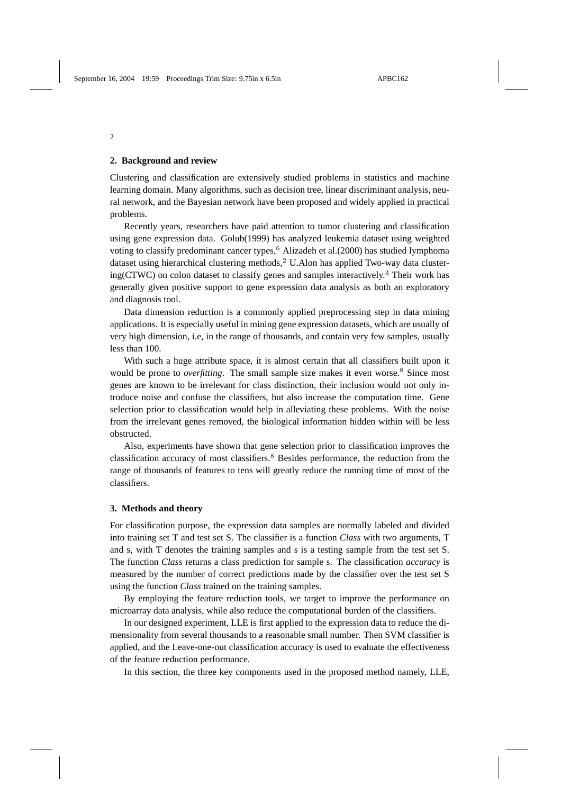## **2. Background and review**

Clustering and classification are extensively studied problems in statistics and machine learning domain. Many algorithms, such as decision tree, linear discriminant analysis, neural network, and the Bayesian network have been proposed and widely applied in practical problems.

Recently years, researchers have paid attention to tumor clustering and classification using gene expression data. Golub(1999) has analyzed leukemia dataset using weighted voting to classify predominant cancer types, $6$  Alizadeh et al.(2000) has studied lymphoma dataset using hierarchical clustering methods, $2$  U.Alon has applied Two-way data cluster $ing(TWC)$  on colon dataset to classify genes and samples interactively.<sup>3</sup> Their work has generally given positive support to gene expression data analysis as both an exploratory and diagnosis tool.

Data dimension reduction is a commonly applied preprocessing step in data mining applications. It is especially useful in mining gene expression datasets, which are usually of very high dimension, i.e, in the range of thousands, and contain very few samples, usually less than 100.

With such a huge attribute space, it is almost certain that all classifiers built upon it would be prone to *overfitting*. The small sample size makes it even worse.<sup>8</sup> Since most genes are known to be irrelevant for class distinction, their inclusion would not only introduce noise and confuse the classifiers, but also increase the computation time. Gene selection prior to classification would help in alleviating these problems. With the noise from the irrelevant genes removed, the biological information hidden within will be less obstructed.

Also, experiments have shown that gene selection prior to classification improves the classification accuracy of most classifiers.<sup>8</sup> Besides performance, the reduction from the range of thousands of features to tens will greatly reduce the running time of most of the classifiers.

#### **3. Methods and theory**

For classification purpose, the expression data samples are normally labeled and divided into training set T and test set S. The classifier is a function *Class* with two arguments, T and s, with T denotes the training samples and s is a testing sample from the test set S. The function *Class* returns a class prediction for sample s. The classification *accuracy* is measured by the number of correct predictions made by the classifier over the test set S using the function *Class* trained on the training samples.

By employing the feature reduction tools, we target to improve the performance on microarray data analysis, while also reduce the computational burden of the classifiers.

In our designed experiment, LLE is first applied to the expression data to reduce the dimensionality from several thousands to a reasonable small number. Then SVM classifier is applied, and the Leave-one-out classification accuracy is used to evaluate the effectiveness of the feature reduction performance.

In this section, the three key components used in the proposed method namely, LLE,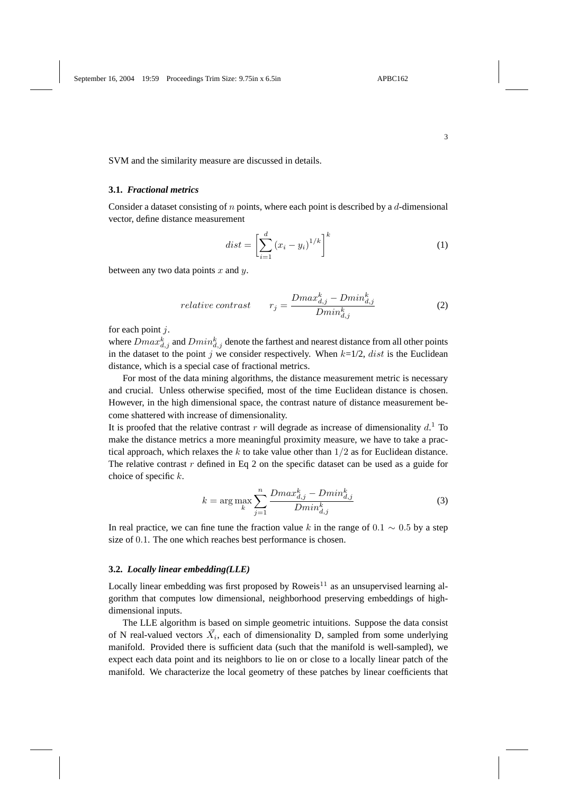SVM and the similarity measure are discussed in details.

### **3.1.** *Fractional metrics*

Consider a dataset consisting of  $n$  points, where each point is described by a  $d$ -dimensional vector, define distance measurement

$$
dist = \left[\sum_{i=1}^{d} (x_i - y_i)^{1/k}\right]^k
$$
 (1)

between any two data points  $x$  and  $y$ .

$$
relative\;contrast \qquad r_j = \frac{Dmax_{d,j}^k - Dmin_{d,j}^k}{Dmin_{d,j}^k} \tag{2}
$$

for each point  $j$ .

where  $Dmax_{d,j}^k$  and  $Dmin_{d,j}^k$  denote the farthest and nearest distance from all other points in the dataset to the point j we consider respectively. When  $k=1/2$ , dist is the Euclidean distance, which is a special case of fractional metrics.

For most of the data mining algorithms, the distance measurement metric is necessary and crucial. Unless otherwise specified, most of the time Euclidean distance is chosen. However, in the high dimensional space, the contrast nature of distance measurement become shattered with increase of dimensionality.

It is proofed that the relative contrast r will degrade as increase of dimensionality  $d<sup>1</sup>$ . To make the distance metrics a more meaningful proximity measure, we have to take a practical approach, which relaxes the k to take value other than  $1/2$  as for Euclidean distance. The relative contrast  $r$  defined in Eq 2 on the specific dataset can be used as a guide for choice of specific k.

$$
k = \arg\max_{k} \sum_{j=1}^{n} \frac{Dmax_{d,j}^{k} - Dmin_{d,j}^{k}}{Dmin_{d,j}^{k}}
$$
(3)

In real practice, we can fine tune the fraction value k in the range of 0.1  $\sim$  0.5 by a step size of 0.1. The one which reaches best performance is chosen.

### **3.2.** *Locally linear embedding(LLE)*

Locally linear embedding was first proposed by  $Roweis<sup>11</sup>$  as an unsupervised learning algorithm that computes low dimensional, neighborhood preserving embeddings of highdimensional inputs.

The LLE algorithm is based on simple geometric intuitions. Suppose the data consist of N real-valued vectors  $\vec{X}_i$ , each of dimensionality D, sampled from some underlying manifold. Provided there is sufficient data (such that the manifold is well-sampled), we expect each data point and its neighbors to lie on or close to a locally linear patch of the manifold. We characterize the local geometry of these patches by linear coefficients that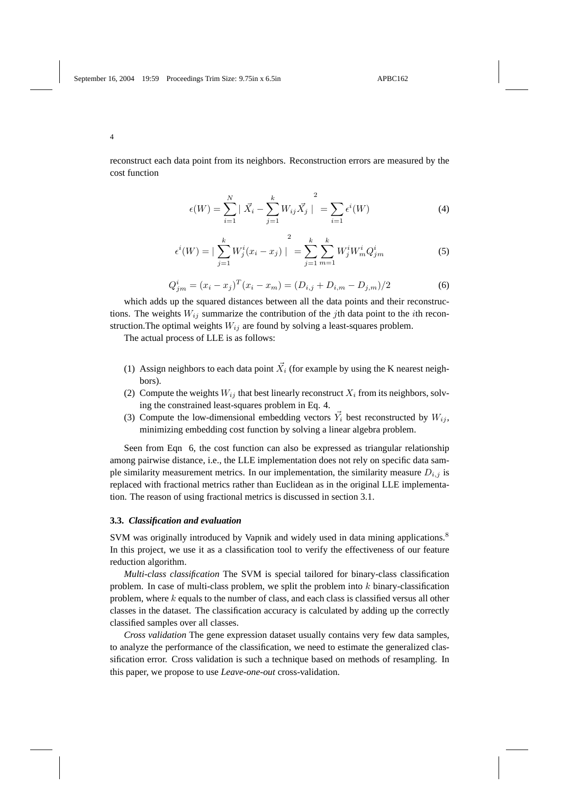reconstruct each data point from its neighbors. Reconstruction errors are measured by the cost function

$$
\epsilon(W) = \sum_{i=1}^{N} | \vec{X_i} - \sum_{j=1}^{k} W_{ij} \vec{X_j} |^{2} = \sum_{i=1}^{k} \epsilon^{i}(W)
$$
 (4)

$$
\epsilon^{i}(W) = \left| \sum_{j=1}^{k} W_{j}^{i}(x_{i} - x_{j}) \right|^{2} = \sum_{j=1}^{k} \sum_{m=1}^{k} W_{j}^{i} W_{m}^{i} Q_{jm}^{i}
$$
 (5)

$$
Q_{j m}^{i} = (x_{i} - x_{j})^{T} (x_{i} - x_{m}) = (D_{i,j} + D_{i,m} - D_{j,m})/2
$$
\n(6)

which adds up the squared distances between all the data points and their reconstructions. The weights  $W_{ij}$  summarize the contribution of the jth data point to the *i*th reconstruction. The optimal weights  $W_{ij}$  are found by solving a least-squares problem.

The actual process of LLE is as follows:

- (1) Assign neighbors to each data point  $\vec{X}_i$  (for example by using the K nearest neighbors).
- (2) Compute the weights  $W_{ij}$  that best linearly reconstruct  $X_i$  from its neighbors, solving the constrained least-squares problem in Eq. 4.
- (3) Compute the low-dimensional embedding vectors  $\vec{Y}_i$  best reconstructed by  $W_{ij}$ , minimizing embedding cost function by solving a linear algebra problem.

Seen from Eqn 6, the cost function can also be expressed as triangular relationship among pairwise distance, i.e., the LLE implementation does not rely on specific data sample similarity measurement metrics. In our implementation, the similarity measure  $D_{i,j}$  is replaced with fractional metrics rather than Euclidean as in the original LLE implementation. The reason of using fractional metrics is discussed in section 3.1.

#### **3.3.** *Classification and evaluation*

SVM was originally introduced by Vapnik and widely used in data mining applications.<sup>8</sup> In this project, we use it as a classification tool to verify the effectiveness of our feature reduction algorithm.

*Multi-class classification* The SVM is special tailored for binary-class classification problem. In case of multi-class problem, we split the problem into  $k$  binary-classification problem, where  $k$  equals to the number of class, and each class is classified versus all other classes in the dataset. The classification accuracy is calculated by adding up the correctly classified samples over all classes.

*Cross validation* The gene expression dataset usually contains very few data samples, to analyze the performance of the classification, we need to estimate the generalized classification error. Cross validation is such a technique based on methods of resampling. In this paper, we propose to use *Leave-one-out* cross-validation.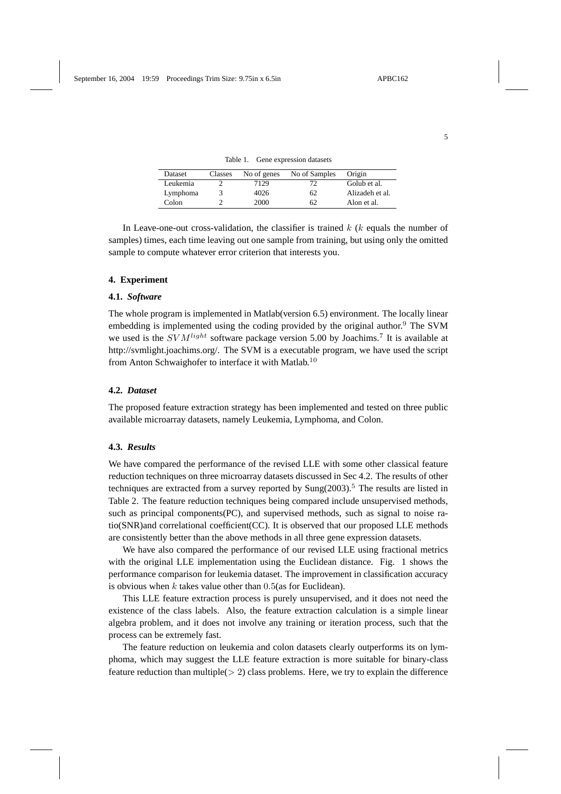Table 1. Gene expression datasets

| <b>Dataset</b> | Classes | No of genes | No of Samples | Origin          |
|----------------|---------|-------------|---------------|-----------------|
| Leukemia       |         | 7129        | 72            | Golub et al.    |
| Lymphoma       |         | 4026        | 62            | Alizadeh et al. |
| Colon          |         | 2000        | 62            | Alon et al.     |

In Leave-one-out cross-validation, the classifier is trained  $k$  ( $k$  equals the number of samples) times, each time leaving out one sample from training, but using only the omitted sample to compute whatever error criterion that interests you.

#### **4. Experiment**

#### **4.1.** *Software*

The whole program is implemented in Matlab(version 6.5) environment. The locally linear embedding is implemented using the coding provided by the original author.<sup>9</sup> The SVM we used is the  $SVM<sup>light</sup>$  software package version 5.00 by Joachims.<sup>7</sup> It is available at http://svmlight.joachims.org/. The SVM is a executable program, we have used the script from Anton Schwaighofer to interface it with Matlab.<sup>10</sup>

## **4.2.** *Dataset*

The proposed feature extraction strategy has been implemented and tested on three public available microarray datasets, namely Leukemia, Lymphoma, and Colon.

#### **4.3.** *Results*

We have compared the performance of the revised LLE with some other classical feature reduction techniques on three microarray datasets discussed in Sec 4.2. The results of other techniques are extracted from a survey reported by  $\text{Sung}(2003)$ .<sup>5</sup> The results are listed in Table 2. The feature reduction techniques being compared include unsupervised methods, such as principal components(PC), and supervised methods, such as signal to noise ratio(SNR)and correlational coefficient(CC). It is observed that our proposed LLE methods are consistently better than the above methods in all three gene expression datasets.

We have also compared the performance of our revised LLE using fractional metrics with the original LLE implementation using the Euclidean distance. Fig. 1 shows the performance comparison for leukemia dataset. The improvement in classification accuracy is obvious when  $k$  takes value other than 0.5(as for Euclidean).

This LLE feature extraction process is purely unsupervised, and it does not need the existence of the class labels. Also, the feature extraction calculation is a simple linear algebra problem, and it does not involve any training or iteration process, such that the process can be extremely fast.

The feature reduction on leukemia and colon datasets clearly outperforms its on lymphoma, which may suggest the LLE feature extraction is more suitable for binary-class feature reduction than multiple( $> 2$ ) class problems. Here, we try to explain the difference

5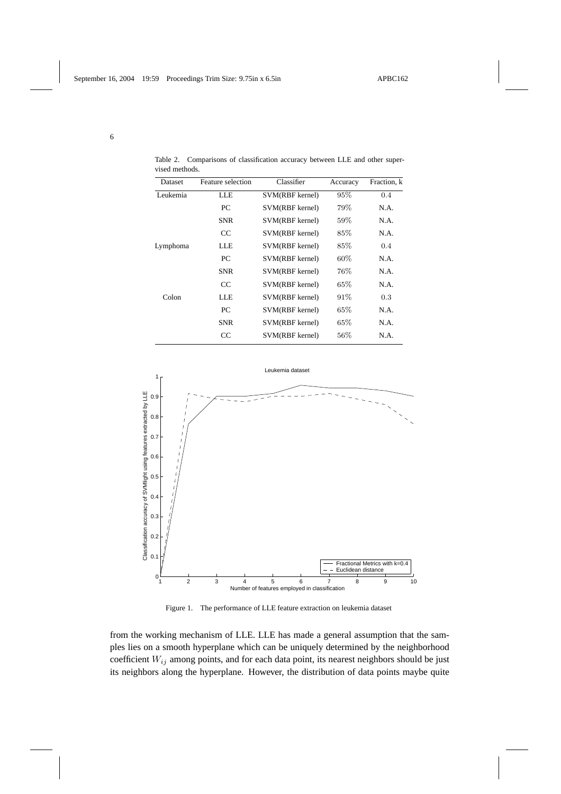| Dataset  | Feature selection | Classifier      | Accuracy | Fraction, k |
|----------|-------------------|-----------------|----------|-------------|
| Leukemia | LLE               | SVM(RBF kernel) | 95%      | 0.4         |
|          | PC                | SVM(RBF kernel) | 79%      | N.A.        |
|          | <b>SNR</b>        | SVM(RBF kernel) | $59\%$   | N.A.        |
|          | <b>CC</b>         | SVM(RBF kernel) | 85%      | N.A.        |
| Lymphoma | LLE               | SVM(RBF kernel) | 85%      | 0.4         |
|          | PC                | SVM(RBF kernel) | $60\%$   | N.A.        |
|          | <b>SNR</b>        | SVM(RBF kernel) | 76%      | N.A.        |
|          | <b>CC</b>         | SVM(RBF kernel) | 65%      | N.A.        |
| Colon    | LLE               | SVM(RBF kernel) | 91\%     | 0.3         |
|          | PC.               | SVM(RBF kernel) | 65%      | N.A.        |
|          | <b>SNR</b>        | SVM(RBF kernel) | 65%      | N.A.        |
|          | CC                | SVM(RBF kernel) | $56\%$   | N.A.        |

Table 2. Comparisons of classification accuracy between LLE and other supervised methods.



Figure 1. The performance of LLE feature extraction on leukemia dataset

from the working mechanism of LLE. LLE has made a general assumption that the samples lies on a smooth hyperplane which can be uniquely determined by the neighborhood coefficient  $W_{ij}$  among points, and for each data point, its nearest neighbors should be just its neighbors along the hyperplane. However, the distribution of data points maybe quite